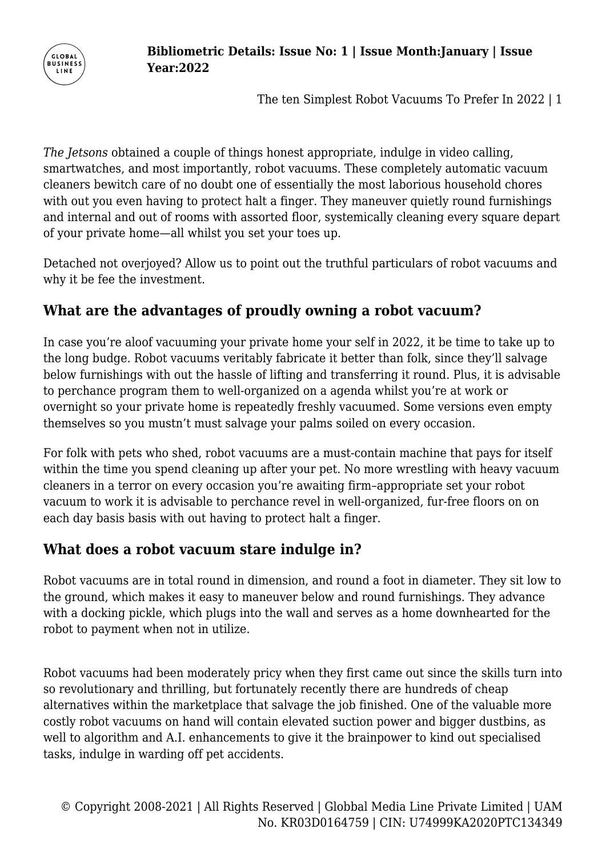

*The Jetsons* obtained a couple of things honest appropriate, indulge in video calling, smartwatches, and most importantly, robot vacuums. These completely automatic vacuum cleaners bewitch care of no doubt one of essentially the most laborious household chores with out you even having to protect halt a finger. They maneuver quietly round furnishings and internal and out of rooms with assorted floor, systemically cleaning every square depart of your private home—all whilst you set your toes up.

Detached not overjoyed? Allow us to point out the truthful particulars of robot vacuums and why it be fee the investment.

## **What are the advantages of proudly owning a robot vacuum?**

In case you're aloof vacuuming your private home your self in 2022, it be time to take up to the long budge. Robot vacuums veritably fabricate it better than folk, since they'll salvage below furnishings with out the hassle of lifting and transferring it round. Plus, it is advisable to perchance program them to well-organized on a agenda whilst you're at work or overnight so your private home is repeatedly freshly vacuumed. Some versions even empty themselves so you mustn't must salvage your palms soiled on every occasion.

For folk with pets who shed, robot vacuums are a must-contain machine that pays for itself within the time you spend cleaning up after your pet. No more wrestling with heavy vacuum cleaners in a terror on every occasion you're awaiting firm–appropriate set your robot vacuum to work it is advisable to perchance revel in well-organized, fur-free floors on on each day basis basis with out having to protect halt a finger.

## **What does a robot vacuum stare indulge in?**

**GLORAL BUSINESS** LINE

Robot vacuums are in total round in dimension, and round a foot in diameter. They sit low to the ground, which makes it easy to maneuver below and round furnishings. They advance with a docking pickle, which plugs into the wall and serves as a home downhearted for the robot to payment when not in utilize.

Robot vacuums had been moderately pricy when they first came out since the skills turn into so revolutionary and thrilling, but fortunately recently there are hundreds of cheap alternatives within the marketplace that salvage the job finished. One of the valuable more costly robot vacuums on hand will contain elevated suction power and bigger dustbins, as well to algorithm and A.I. enhancements to give it the brainpower to kind out specialised tasks, indulge in warding off pet accidents.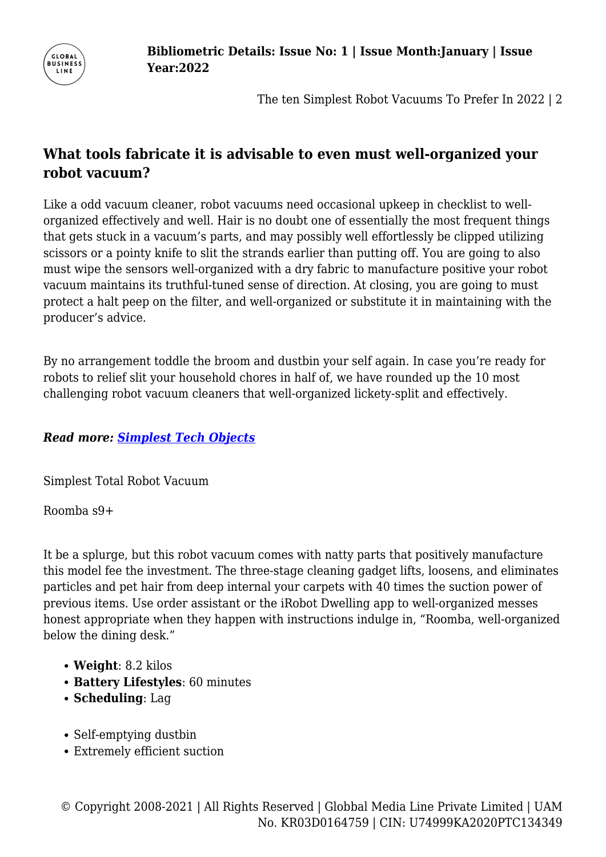

# **What tools fabricate it is advisable to even must well-organized your robot vacuum?**

Like a odd vacuum cleaner, robot vacuums need occasional upkeep in checklist to wellorganized effectively and well. Hair is no doubt one of essentially the most frequent things that gets stuck in a vacuum's parts, and may possibly well effortlessly be clipped utilizing scissors or a pointy knife to slit the strands earlier than putting off. You are going to also must wipe the sensors well-organized with a dry fabric to manufacture positive your robot vacuum maintains its truthful-tuned sense of direction. At closing, you are going to must protect a halt peep on the filter, and well-organized or substitute it in maintaining with the producer's advice.

By no arrangement toddle the broom and dustbin your self again. In case you're ready for robots to relief slit your household chores in half of, we have rounded up the 10 most challenging robot vacuum cleaners that well-organized lickety-split and effectively.

### *Read more: [Simplest Tech Objects](https://www.menshealth.com/technology-gear/a38311826/best-gadgets-for-men/)*

Simplest Total Robot Vacuum

Roomba s9+

It be a splurge, but this robot vacuum comes with natty parts that positively manufacture this model fee the investment. The three-stage cleaning gadget lifts, loosens, and eliminates particles and pet hair from deep internal your carpets with 40 times the suction power of previous items. Use order assistant or the iRobot Dwelling app to well-organized messes honest appropriate when they happen with instructions indulge in, "Roomba, well-organized below the dining desk."

- **Weight**: 8.2 kilos
- **Battery Lifestyles**: 60 minutes
- **Scheduling**: Lag
- Self-emptying dustbin
- Extremely efficient suction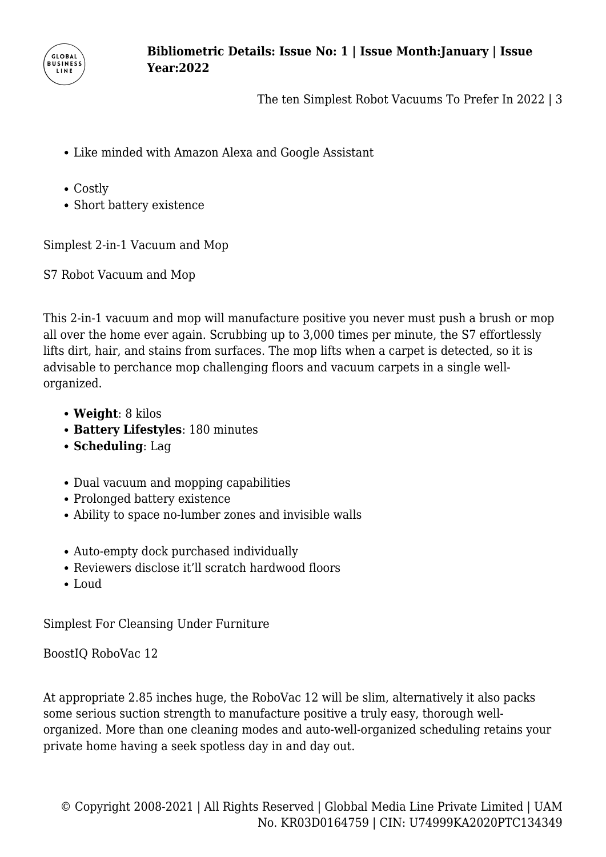

- Like minded with Amazon Alexa and Google Assistant
- Costly
- Short battery existence

Simplest 2-in-1 Vacuum and Mop

S7 Robot Vacuum and Mop

This 2-in-1 vacuum and mop will manufacture positive you never must push a brush or mop all over the home ever again. Scrubbing up to 3,000 times per minute, the S7 effortlessly lifts dirt, hair, and stains from surfaces. The mop lifts when a carpet is detected, so it is advisable to perchance mop challenging floors and vacuum carpets in a single wellorganized.

- **Weight**: 8 kilos
- **Battery Lifestyles**: 180 minutes
- **Scheduling**: Lag
- Dual vacuum and mopping capabilities
- Prolonged battery existence
- Ability to space no-lumber zones and invisible walls
- Auto-empty dock purchased individually
- Reviewers disclose it'll scratch hardwood floors
- Loud

Simplest For Cleansing Under Furniture

BoostIQ RoboVac 12

At appropriate 2.85 inches huge, the RoboVac 12 will be slim, alternatively it also packs some serious suction strength to manufacture positive a truly easy, thorough wellorganized. More than one cleaning modes and auto-well-organized scheduling retains your private home having a seek spotless day in and day out.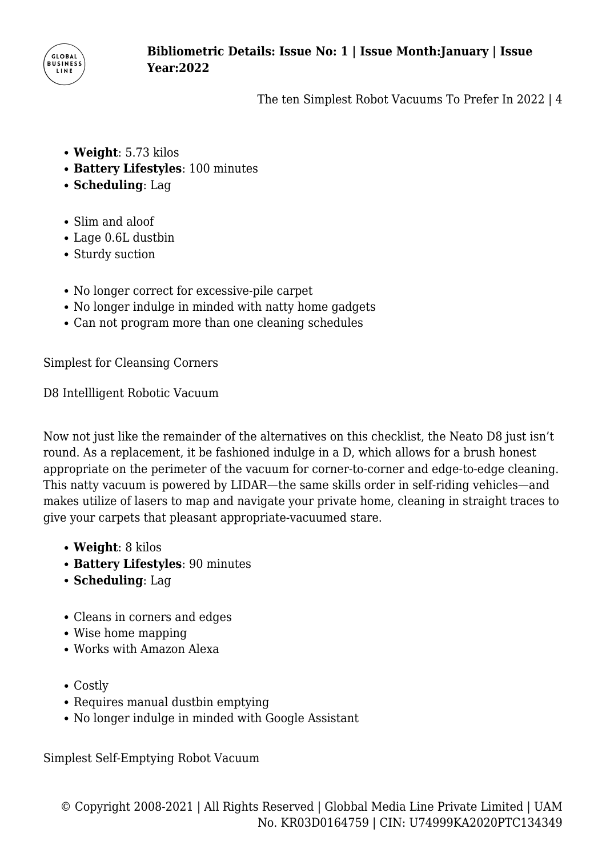

- **Weight**: 5.73 kilos
- **Battery Lifestyles**: 100 minutes
- **Scheduling**: Lag
- Slim and aloof
- Lage 0.6L dustbin
- Sturdy suction
- No longer correct for excessive-pile carpet
- No longer indulge in minded with natty home gadgets
- Can not program more than one cleaning schedules

Simplest for Cleansing Corners

D8 Intellligent Robotic Vacuum

Now not just like the remainder of the alternatives on this checklist, the Neato D8 just isn't round. As a replacement, it be fashioned indulge in a D, which allows for a brush honest appropriate on the perimeter of the vacuum for corner-to-corner and edge-to-edge cleaning. This natty vacuum is powered by LIDAR—the same skills order in self-riding vehicles—and makes utilize of lasers to map and navigate your private home, cleaning in straight traces to give your carpets that pleasant appropriate-vacuumed stare.

- **Weight**: 8 kilos
- **Battery Lifestyles**: 90 minutes
- **Scheduling**: Lag
- Cleans in corners and edges
- Wise home mapping
- Works with Amazon Alexa
- Costly
- Requires manual dustbin emptying
- No longer indulge in minded with Google Assistant

Simplest Self-Emptying Robot Vacuum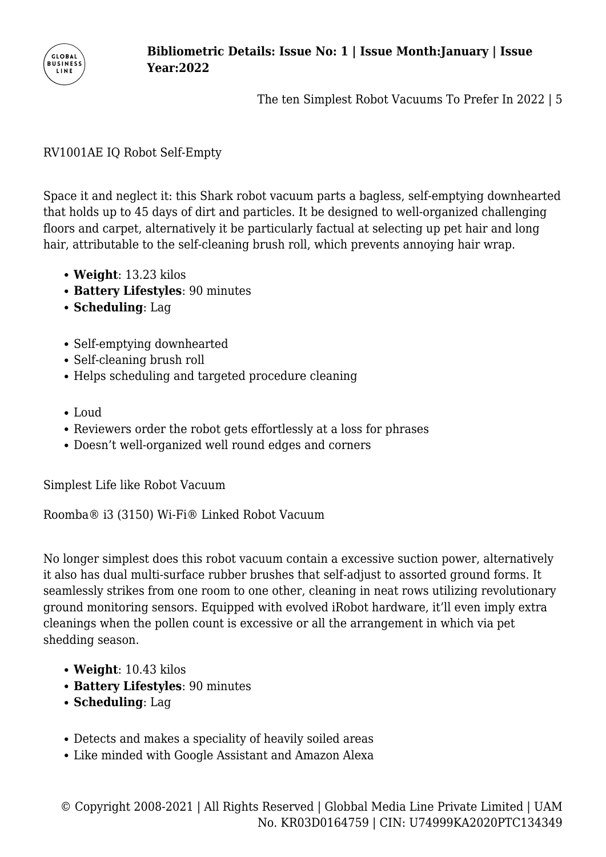

#### RV1001AE IQ Robot Self-Empty

Space it and neglect it: this Shark robot vacuum parts a bagless, self-emptying downhearted that holds up to 45 days of dirt and particles. It be designed to well-organized challenging floors and carpet, alternatively it be particularly factual at selecting up pet hair and long hair, attributable to the self-cleaning brush roll, which prevents annoying hair wrap.

- **Weight**: 13.23 kilos
- **Battery Lifestyles**: 90 minutes
- **Scheduling**: Lag
- Self-emptying downhearted
- Self-cleaning brush roll
- Helps scheduling and targeted procedure cleaning
- Loud
- Reviewers order the robot gets effortlessly at a loss for phrases
- Doesn't well-organized well round edges and corners

Simplest Life like Robot Vacuum

Roomba® i3 (3150) Wi-Fi® Linked Robot Vacuum

No longer simplest does this robot vacuum contain a excessive suction power, alternatively it also has dual multi-surface rubber brushes that self-adjust to assorted ground forms. It seamlessly strikes from one room to one other, cleaning in neat rows utilizing revolutionary ground monitoring sensors. Equipped with evolved iRobot hardware, it'll even imply extra cleanings when the pollen count is excessive or all the arrangement in which via pet shedding season.

- **Weight**: 10.43 kilos
- **Battery Lifestyles**: 90 minutes
- **Scheduling**: Lag
- Detects and makes a speciality of heavily soiled areas
- Like minded with Google Assistant and Amazon Alexa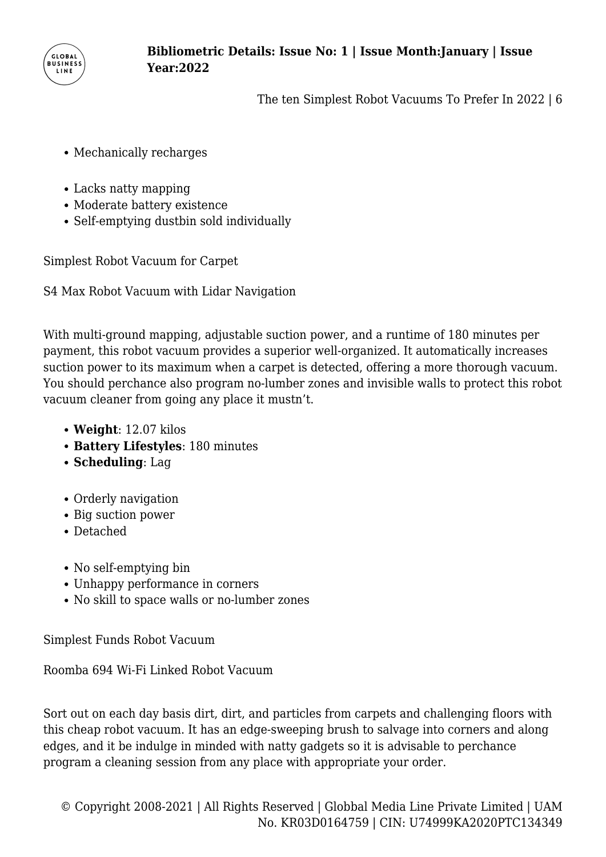

- Mechanically recharges
- Lacks natty mapping
- Moderate battery existence
- Self-emptying dustbin sold individually

Simplest Robot Vacuum for Carpet

S4 Max Robot Vacuum with Lidar Navigation

With multi-ground mapping, adjustable suction power, and a runtime of 180 minutes per payment, this robot vacuum provides a superior well-organized. It automatically increases suction power to its maximum when a carpet is detected, offering a more thorough vacuum. You should perchance also program no-lumber zones and invisible walls to protect this robot vacuum cleaner from going any place it mustn't.

- **Weight**: 12.07 kilos
- **Battery Lifestyles**: 180 minutes
- **Scheduling**: Lag
- Orderly navigation
- Big suction power
- Detached
- No self-emptying bin
- Unhappy performance in corners
- No skill to space walls or no-lumber zones

Simplest Funds Robot Vacuum

Roomba 694 Wi-Fi Linked Robot Vacuum

Sort out on each day basis dirt, dirt, and particles from carpets and challenging floors with this cheap robot vacuum. It has an edge-sweeping brush to salvage into corners and along edges, and it be indulge in minded with natty gadgets so it is advisable to perchance program a cleaning session from any place with appropriate your order.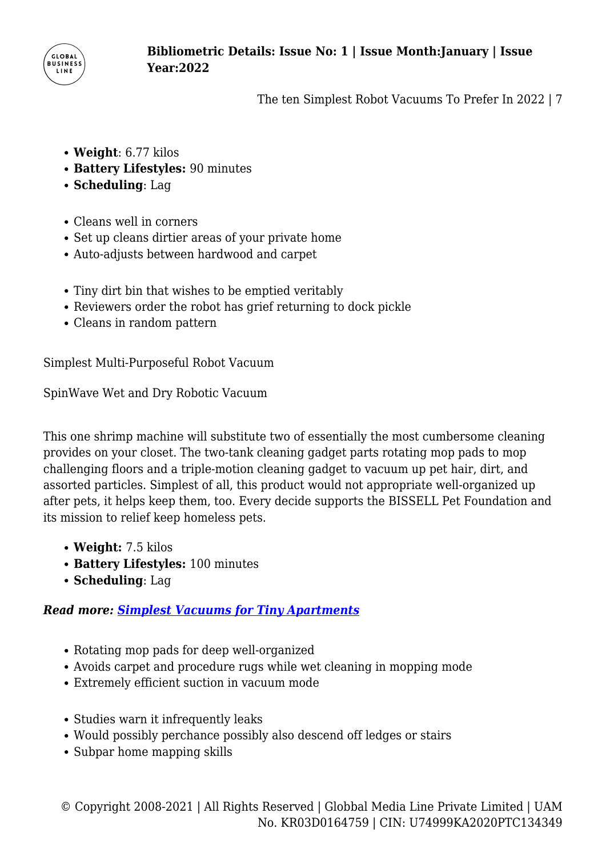

- **Weight**: 6.77 kilos
- **Battery Lifestyles:** 90 minutes
- **Scheduling**: Lag
- Cleans well in corners
- Set up cleans dirtier areas of your private home
- Auto-adjusts between hardwood and carpet
- Tiny dirt bin that wishes to be emptied veritably
- Reviewers order the robot has grief returning to dock pickle
- Cleans in random pattern

Simplest Multi-Purposeful Robot Vacuum

SpinWave Wet and Dry Robotic Vacuum

This one shrimp machine will substitute two of essentially the most cumbersome cleaning provides on your closet. The two-tank cleaning gadget parts rotating mop pads to mop challenging floors and a triple-motion cleaning gadget to vacuum up pet hair, dirt, and assorted particles. Simplest of all, this product would not appropriate well-organized up after pets, it helps keep them, too. Every decide supports the BISSELL Pet Foundation and its mission to relief keep homeless pets.

- **Weight:** 7.5 kilos
- **Battery Lifestyles:** 100 minutes
- **Scheduling**: Lag

### *Read more: [Simplest Vacuums for Tiny Apartments](https://www.menshealth.com/technology-gear/g35311665/best-vacuums-small-apartment/)*

- Rotating mop pads for deep well-organized
- Avoids carpet and procedure rugs while wet cleaning in mopping mode
- Extremely efficient suction in vacuum mode
- Studies warn it infrequently leaks
- Would possibly perchance possibly also descend off ledges or stairs
- Subpar home mapping skills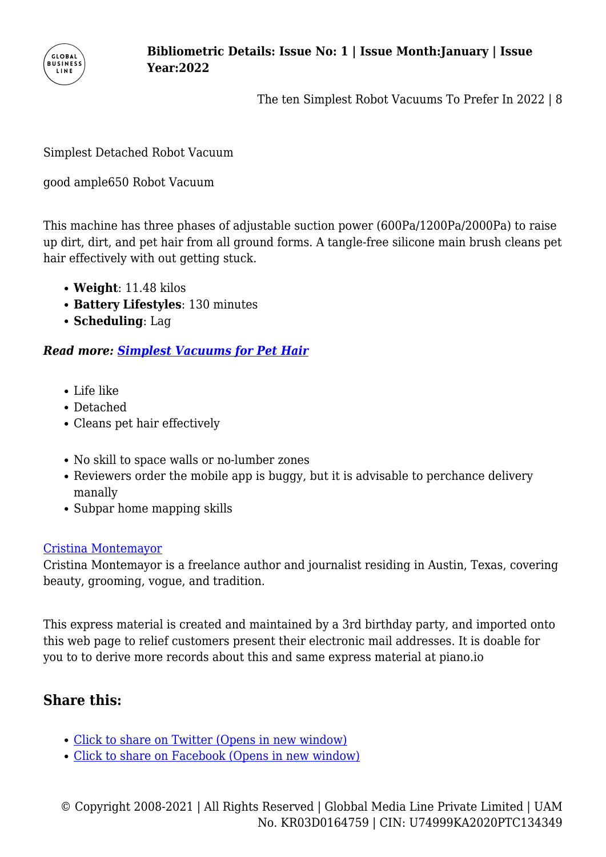

Simplest Detached Robot Vacuum

good ample650 Robot Vacuum

This machine has three phases of adjustable suction power (600Pa/1200Pa/2000Pa) to raise up dirt, dirt, and pet hair from all ground forms. A tangle-free silicone main brush cleans pet hair effectively with out getting stuck.

- **Weight**: 11.48 kilos
- **Battery Lifestyles**: 130 minutes
- **Scheduling**: Lag

#### *Read more: [Simplest Vacuums for Pet Hair](https://www.menshealth.com/technology-gear/g35713163/best-vacuum-pet-hair/)*

- Life like
- Detached
- Cleans pet hair effectively
- No skill to space walls or no-lumber zones
- Reviewers order the mobile app is buggy, but it is advisable to perchance delivery manally
- Subpar home mapping skills

#### [Cristina Montemayor](http://www.menshealth.com/author/234240/Cristina-Montemayor/)

Cristina Montemayor is a freelance author and journalist residing in Austin, Texas, covering beauty, grooming, vogue, and tradition.

This express material is created and maintained by a 3rd birthday party, and imported onto this web page to relief customers present their electronic mail addresses. It is doable for you to to derive more records about this and same express material at piano.io

## **Share this:**

- [Click to share on Twitter \(Opens in new window\)](https://www.businessline.global/the-ten-simplest-robot-vacuums-to-prefer-in-2022/biotech-and-pharma/?share=twitter)
- [Click to share on Facebook \(Opens in new window\)](https://www.businessline.global/the-ten-simplest-robot-vacuums-to-prefer-in-2022/biotech-and-pharma/?share=facebook)

© Copyright 2008-2021 | All Rights Reserved | Globbal Media Line Private Limited | UAM No. KR03D0164759 | CIN: U74999KA2020PTC134349